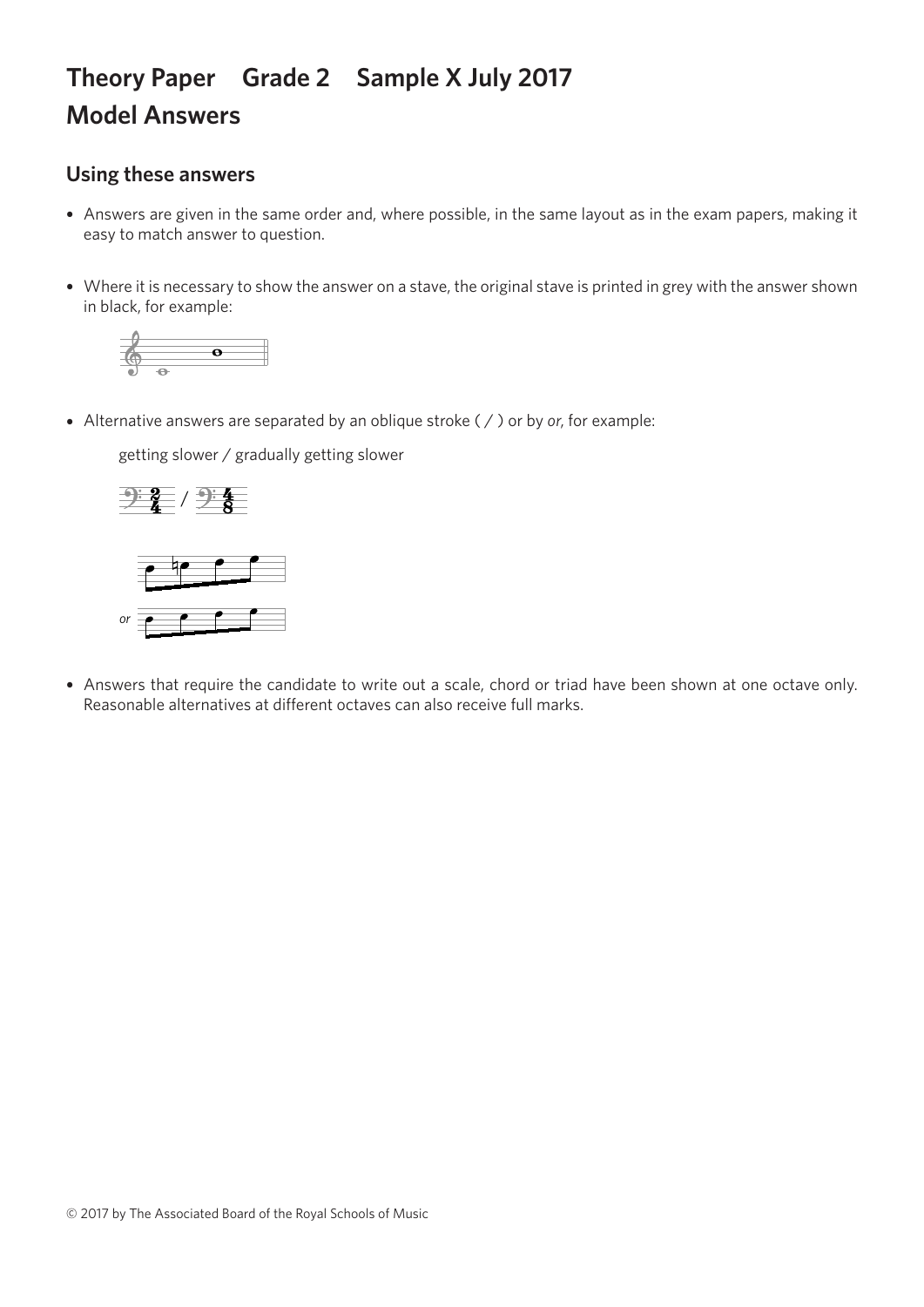## **Theory Paper Grade 2 Sample X July 2017 Model Answers**

## **Using these answers**

- Answers are given in the same order and, where possible, in the same layout as in the exam papers, making it easy to match answer to question.
- Where it is necessary to show the answer on a stave, the original stave is printed in grey with the answer shown in black, for example:



• Alternative answers are separated by an oblique stroke ( / ) or by *or*, for example:

getting slower / gradually getting slower getting slower / gradually getting slower getting slower / gradually getting slower



*or or*

• Answers that require the candidate to write out a scale, chord or triad have been shown at one octave only. Reasonable alternatives at different octaves can also receive full marks.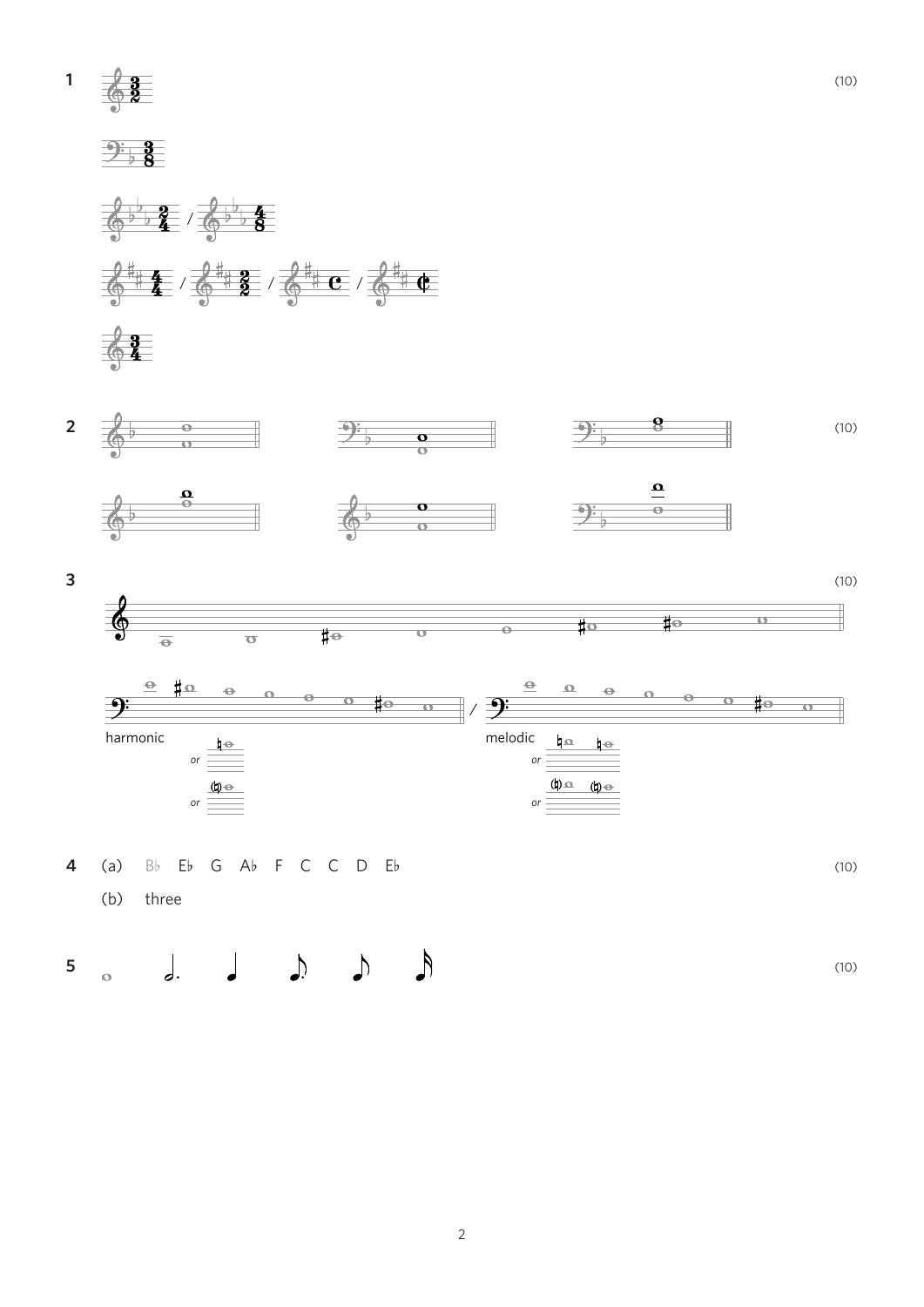$\frac{2}{9}$ **1**









$$
4 (a) Bb Eb G Ab F C C D Eb
$$
\n(10)

(b) three

**5** (10)